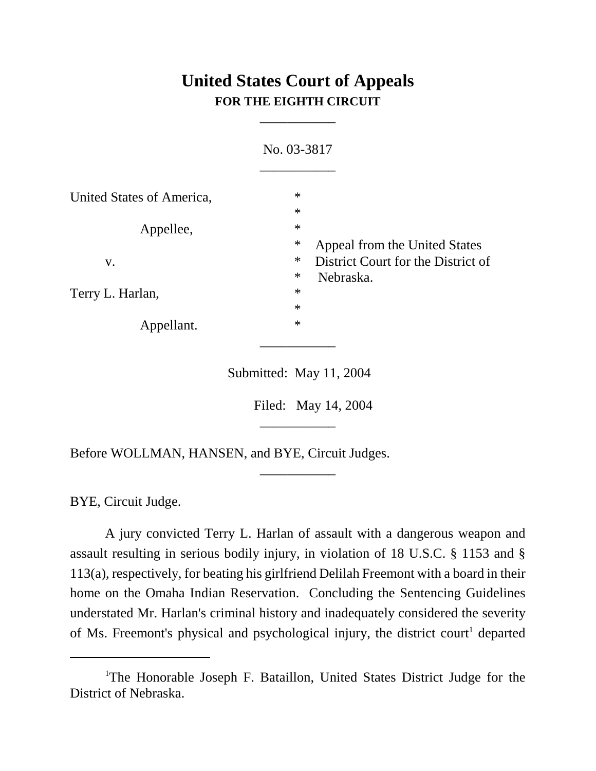## **United States Court of Appeals FOR THE EIGHTH CIRCUIT**

\_\_\_\_\_\_\_\_\_\_\_

|                                      | No. 03-3817                                                                             |  |
|--------------------------------------|-----------------------------------------------------------------------------------------|--|
| United States of America,            | $\ast$                                                                                  |  |
| Appellee,                            | $\ast$<br>$\ast$                                                                        |  |
| V.<br>Terry L. Harlan,<br>Appellant. | $\ast$<br>Appeal from the United States<br>$\ast$<br>District Court for the District of |  |
|                                      | $\ast$<br>Nebraska.<br>$\ast$                                                           |  |
|                                      | $\ast$<br>$\ast$                                                                        |  |
|                                      |                                                                                         |  |

Submitted: May 11, 2004

\_\_\_\_\_\_\_\_\_\_\_

\_\_\_\_\_\_\_\_\_\_\_

Filed: May 14, 2004

Before WOLLMAN, HANSEN, and BYE, Circuit Judges.

BYE, Circuit Judge.

A jury convicted Terry L. Harlan of assault with a dangerous weapon and assault resulting in serious bodily injury, in violation of 18 U.S.C. § 1153 and § 113(a), respectively, for beating his girlfriend Delilah Freemont with a board in their home on the Omaha Indian Reservation. Concluding the Sentencing Guidelines understated Mr. Harlan's criminal history and inadequately considered the severity of Ms. Freemont's physical and psychological injury, the district court<sup>1</sup> departed

<sup>&</sup>lt;sup>1</sup>The Honorable Joseph F. Bataillon, United States District Judge for the District of Nebraska.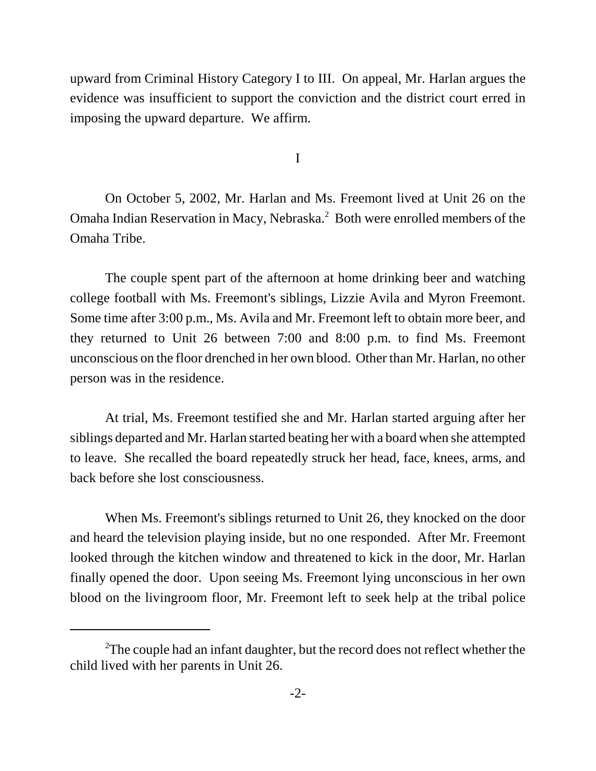upward from Criminal History Category I to III. On appeal, Mr. Harlan argues the evidence was insufficient to support the conviction and the district court erred in imposing the upward departure. We affirm.

I

On October 5, 2002, Mr. Harlan and Ms. Freemont lived at Unit 26 on the Omaha Indian Reservation in Macy, Nebraska.<sup>2</sup> Both were enrolled members of the Omaha Tribe.

The couple spent part of the afternoon at home drinking beer and watching college football with Ms. Freemont's siblings, Lizzie Avila and Myron Freemont. Some time after 3:00 p.m., Ms. Avila and Mr. Freemont left to obtain more beer, and they returned to Unit 26 between 7:00 and 8:00 p.m. to find Ms. Freemont unconscious on the floor drenched in her own blood. Other than Mr. Harlan, no other person was in the residence.

At trial, Ms. Freemont testified she and Mr. Harlan started arguing after her siblings departed and Mr. Harlan started beating her with a board when she attempted to leave. She recalled the board repeatedly struck her head, face, knees, arms, and back before she lost consciousness.

When Ms. Freemont's siblings returned to Unit 26, they knocked on the door and heard the television playing inside, but no one responded. After Mr. Freemont looked through the kitchen window and threatened to kick in the door, Mr. Harlan finally opened the door. Upon seeing Ms. Freemont lying unconscious in her own blood on the livingroom floor, Mr. Freemont left to seek help at the tribal police

 $2$ The couple had an infant daughter, but the record does not reflect whether the child lived with her parents in Unit 26.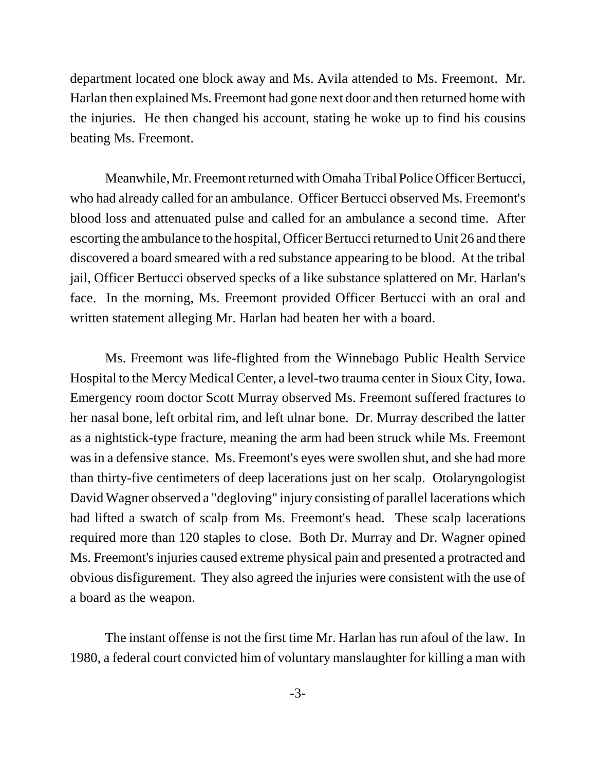department located one block away and Ms. Avila attended to Ms. Freemont. Mr. Harlan then explained Ms. Freemont had gone next door and then returned home with the injuries. He then changed his account, stating he woke up to find his cousins beating Ms. Freemont.

Meanwhile, Mr. Freemont returned with Omaha Tribal Police Officer Bertucci, who had already called for an ambulance. Officer Bertucci observed Ms. Freemont's blood loss and attenuated pulse and called for an ambulance a second time. After escorting the ambulance to the hospital, Officer Bertucci returned to Unit 26 and there discovered a board smeared with a red substance appearing to be blood. At the tribal jail, Officer Bertucci observed specks of a like substance splattered on Mr. Harlan's face. In the morning, Ms. Freemont provided Officer Bertucci with an oral and written statement alleging Mr. Harlan had beaten her with a board.

Ms. Freemont was life-flighted from the Winnebago Public Health Service Hospital to the Mercy Medical Center, a level-two trauma center in Sioux City, Iowa. Emergency room doctor Scott Murray observed Ms. Freemont suffered fractures to her nasal bone, left orbital rim, and left ulnar bone. Dr. Murray described the latter as a nightstick-type fracture, meaning the arm had been struck while Ms. Freemont was in a defensive stance. Ms. Freemont's eyes were swollen shut, and she had more than thirty-five centimeters of deep lacerations just on her scalp. Otolaryngologist David Wagner observed a "degloving" injury consisting of parallel lacerations which had lifted a swatch of scalp from Ms. Freemont's head. These scalp lacerations required more than 120 staples to close. Both Dr. Murray and Dr. Wagner opined Ms. Freemont's injuries caused extreme physical pain and presented a protracted and obvious disfigurement. They also agreed the injuries were consistent with the use of a board as the weapon.

The instant offense is not the first time Mr. Harlan has run afoul of the law. In 1980, a federal court convicted him of voluntary manslaughter for killing a man with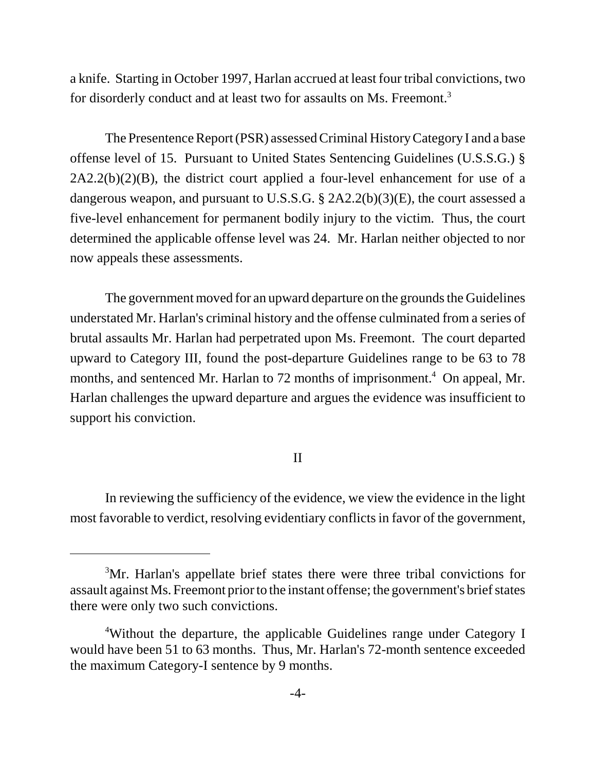a knife. Starting in October 1997, Harlan accrued at least four tribal convictions, two for disorderly conduct and at least two for assaults on Ms. Freemont.<sup>3</sup>

The Presentence Report (PSR) assessed Criminal History Category I and a base offense level of 15. Pursuant to United States Sentencing Guidelines (U.S.S.G.) §  $2A2.2(b)(2)(B)$ , the district court applied a four-level enhancement for use of a dangerous weapon, and pursuant to U.S.S.G. § 2A2.2(b)(3)(E), the court assessed a five-level enhancement for permanent bodily injury to the victim. Thus, the court determined the applicable offense level was 24. Mr. Harlan neither objected to nor now appeals these assessments.

The government moved for an upward departure on the grounds the Guidelines understated Mr. Harlan's criminal history and the offense culminated from a series of brutal assaults Mr. Harlan had perpetrated upon Ms. Freemont. The court departed upward to Category III, found the post-departure Guidelines range to be 63 to 78 months, and sentenced Mr. Harlan to 72 months of imprisonment.<sup>4</sup> On appeal, Mr. Harlan challenges the upward departure and argues the evidence was insufficient to support his conviction.

## II

In reviewing the sufficiency of the evidence, we view the evidence in the light most favorable to verdict, resolving evidentiary conflicts in favor of the government,

<sup>&</sup>lt;sup>3</sup>Mr. Harlan's appellate brief states there were three tribal convictions for assault against Ms. Freemont prior to the instant offense; the government's brief states there were only two such convictions.

<sup>&</sup>lt;sup>4</sup>Without the departure, the applicable Guidelines range under Category I would have been 51 to 63 months. Thus, Mr. Harlan's 72-month sentence exceeded the maximum Category-I sentence by 9 months.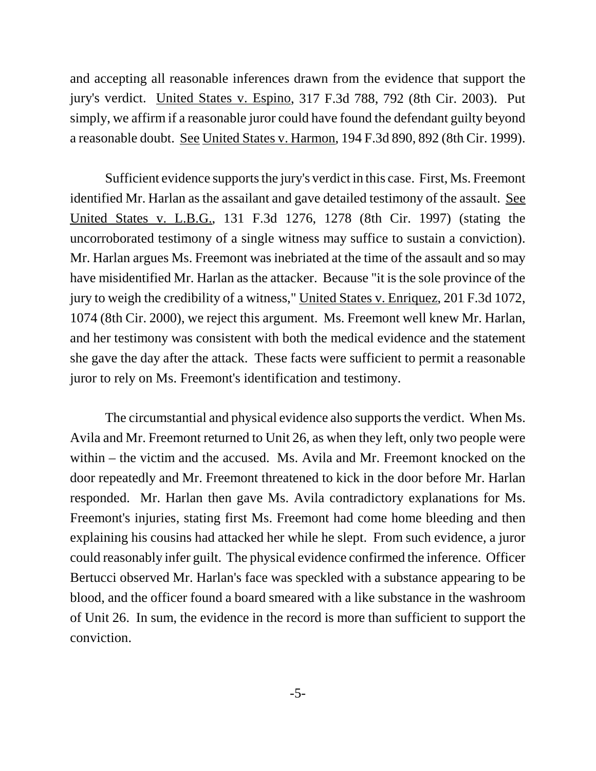and accepting all reasonable inferences drawn from the evidence that support the jury's verdict. United States v. Espino, 317 F.3d 788, 792 (8th Cir. 2003). Put simply, we affirm if a reasonable juror could have found the defendant guilty beyond a reasonable doubt. See United States v. Harmon, 194 F.3d 890, 892 (8th Cir. 1999).

Sufficient evidence supports the jury's verdict in this case. First, Ms. Freemont identified Mr. Harlan as the assailant and gave detailed testimony of the assault. See United States v. L.B.G., 131 F.3d 1276, 1278 (8th Cir. 1997) (stating the uncorroborated testimony of a single witness may suffice to sustain a conviction). Mr. Harlan argues Ms. Freemont was inebriated at the time of the assault and so may have misidentified Mr. Harlan as the attacker. Because "it is the sole province of the jury to weigh the credibility of a witness," United States v. Enriquez, 201 F.3d 1072, 1074 (8th Cir. 2000), we reject this argument. Ms. Freemont well knew Mr. Harlan, and her testimony was consistent with both the medical evidence and the statement she gave the day after the attack. These facts were sufficient to permit a reasonable juror to rely on Ms. Freemont's identification and testimony.

The circumstantial and physical evidence also supports the verdict. When Ms. Avila and Mr. Freemont returned to Unit 26, as when they left, only two people were within – the victim and the accused. Ms. Avila and Mr. Freemont knocked on the door repeatedly and Mr. Freemont threatened to kick in the door before Mr. Harlan responded. Mr. Harlan then gave Ms. Avila contradictory explanations for Ms. Freemont's injuries, stating first Ms. Freemont had come home bleeding and then explaining his cousins had attacked her while he slept. From such evidence, a juror could reasonably infer guilt. The physical evidence confirmed the inference. Officer Bertucci observed Mr. Harlan's face was speckled with a substance appearing to be blood, and the officer found a board smeared with a like substance in the washroom of Unit 26. In sum, the evidence in the record is more than sufficient to support the conviction.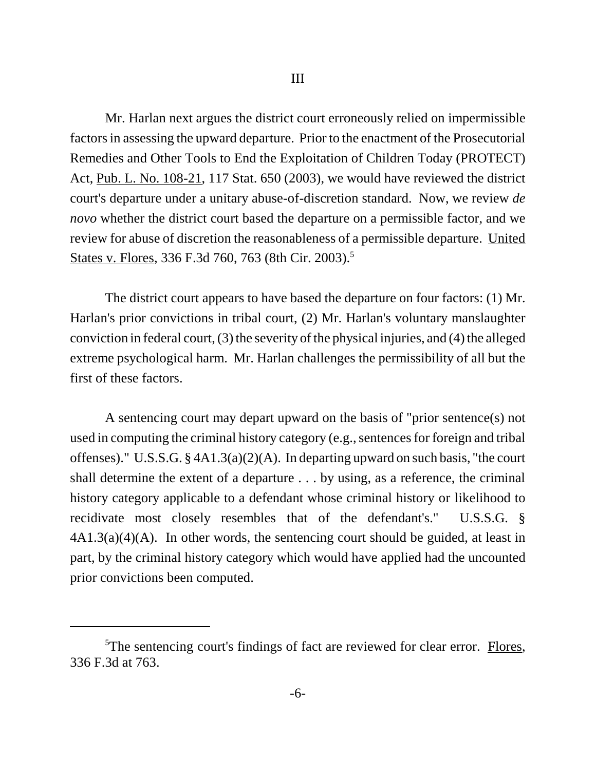Mr. Harlan next argues the district court erroneously relied on impermissible factors in assessing the upward departure. Prior to the enactment of the Prosecutorial Remedies and Other Tools to End the Exploitation of Children Today (PROTECT) Act, Pub. L. No. 108-21, 117 Stat. 650 (2003), we would have reviewed the district court's departure under a unitary abuse-of-discretion standard. Now, we review *de novo* whether the district court based the departure on a permissible factor, and we review for abuse of discretion the reasonableness of a permissible departure. United States v. Flores, 336 F.3d 760, 763 (8th Cir. 2003).<sup>5</sup>

The district court appears to have based the departure on four factors: (1) Mr. Harlan's prior convictions in tribal court, (2) Mr. Harlan's voluntary manslaughter conviction in federal court, (3) the severity of the physical injuries, and (4) the alleged extreme psychological harm. Mr. Harlan challenges the permissibility of all but the first of these factors.

A sentencing court may depart upward on the basis of "prior sentence(s) not used in computing the criminal history category (e.g., sentences for foreign and tribal offenses)." U.S.S.G. § 4A1.3(a)(2)(A). In departing upward on such basis, "the court shall determine the extent of a departure . . . by using, as a reference, the criminal history category applicable to a defendant whose criminal history or likelihood to recidivate most closely resembles that of the defendant's." U.S.S.G. §  $4A1.3(a)(4)(A)$ . In other words, the sentencing court should be guided, at least in part, by the criminal history category which would have applied had the uncounted prior convictions been computed.

<sup>&</sup>lt;sup>5</sup>The sentencing court's findings of fact are reviewed for clear error. Flores, 336 F.3d at 763.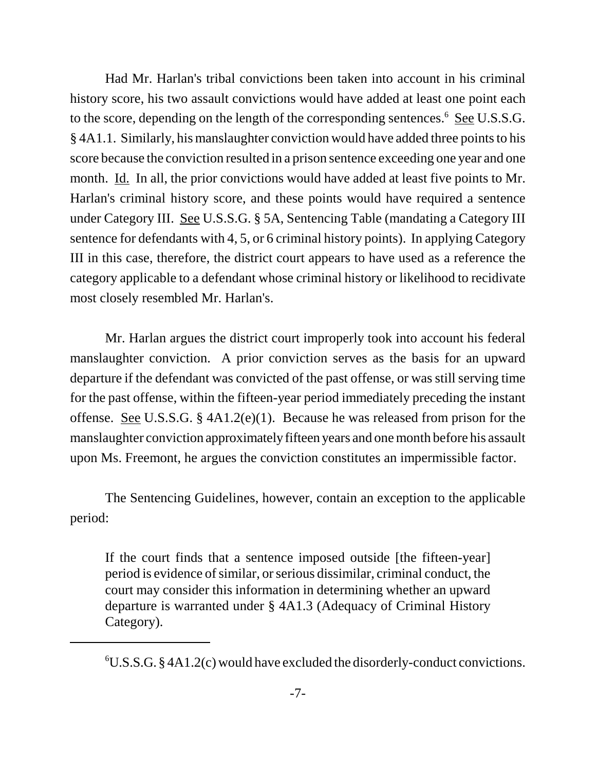Had Mr. Harlan's tribal convictions been taken into account in his criminal history score, his two assault convictions would have added at least one point each to the score, depending on the length of the corresponding sentences.<sup>6</sup> See U.S.S.G. § 4A1.1. Similarly, his manslaughter conviction would have added three points to his score because the conviction resulted in a prison sentence exceeding one year and one month. Id. In all, the prior convictions would have added at least five points to Mr. Harlan's criminal history score, and these points would have required a sentence under Category III. See U.S.S.G. § 5A, Sentencing Table (mandating a Category III sentence for defendants with 4, 5, or 6 criminal history points). In applying Category III in this case, therefore, the district court appears to have used as a reference the category applicable to a defendant whose criminal history or likelihood to recidivate most closely resembled Mr. Harlan's.

Mr. Harlan argues the district court improperly took into account his federal manslaughter conviction. A prior conviction serves as the basis for an upward departure if the defendant was convicted of the past offense, or was still serving time for the past offense, within the fifteen-year period immediately preceding the instant offense. See U.S.S.G. § 4A1.2(e)(1). Because he was released from prison for the manslaughter conviction approximately fifteen years and one month before his assault upon Ms. Freemont, he argues the conviction constitutes an impermissible factor.

The Sentencing Guidelines, however, contain an exception to the applicable period:

If the court finds that a sentence imposed outside [the fifteen-year] period is evidence of similar, or serious dissimilar, criminal conduct, the court may consider this information in determining whether an upward departure is warranted under § 4A1.3 (Adequacy of Criminal History Category).

 ${}^{6}U.S.S.G. \$ § 4A1.2(c) would have excluded the disorderly-conduct convictions.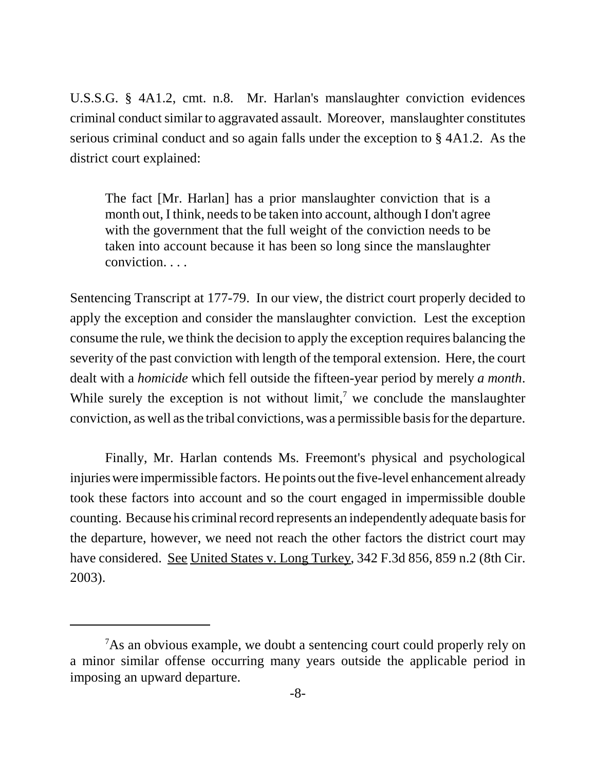U.S.S.G. § 4A1.2, cmt. n.8. Mr. Harlan's manslaughter conviction evidences criminal conduct similar to aggravated assault. Moreover, manslaughter constitutes serious criminal conduct and so again falls under the exception to § 4A1.2. As the district court explained:

The fact [Mr. Harlan] has a prior manslaughter conviction that is a month out, I think, needs to be taken into account, although I don't agree with the government that the full weight of the conviction needs to be taken into account because it has been so long since the manslaughter conviction. . . .

Sentencing Transcript at 177-79. In our view, the district court properly decided to apply the exception and consider the manslaughter conviction. Lest the exception consume the rule, we think the decision to apply the exception requires balancing the severity of the past conviction with length of the temporal extension. Here, the court dealt with a *homicide* which fell outside the fifteen-year period by merely *a month*. While surely the exception is not without  $\lim_{h \to 0} I$ , we conclude the manslaughter conviction, as well as the tribal convictions, was a permissible basis for the departure.

Finally, Mr. Harlan contends Ms. Freemont's physical and psychological injuries were impermissible factors. He points out the five-level enhancement already took these factors into account and so the court engaged in impermissible double counting. Because his criminal record represents an independently adequate basis for the departure, however, we need not reach the other factors the district court may have considered. See United States v. Long Turkey, 342 F.3d 856, 859 n.2 (8th Cir. 2003).

 $7$ As an obvious example, we doubt a sentencing court could properly rely on a minor similar offense occurring many years outside the applicable period in imposing an upward departure.